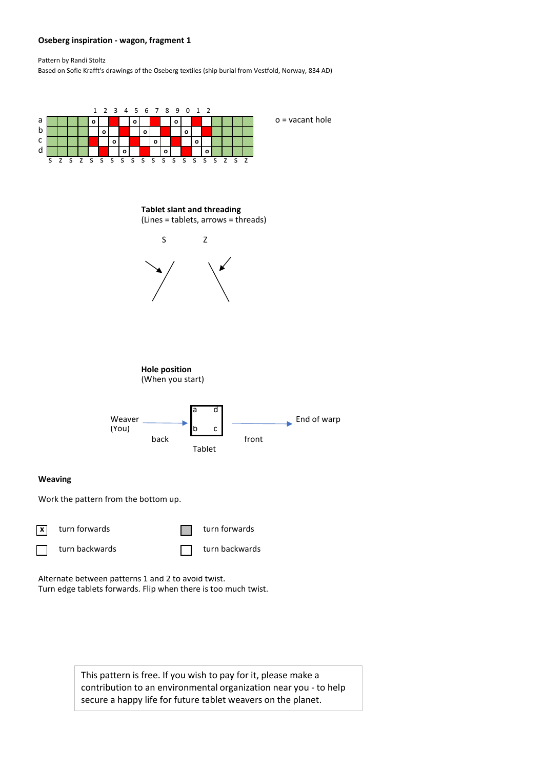## **Oseberg inspiration - wagon, fragment 1**

Pattern by Randi Stoltz

Based on Sofie Krafft's drawings of the Oseberg textiles (ship burial from Vestfold, Norway, 834 AD)



Alternate between patterns 1 and 2 to avoid twist. Turn edge tablets forwards. Flip when there is too much twist.

> This pattern is free. If you wish to pay for it, please make a contribution to an environmental organization near you - to help secure a happy life for future tablet weavers on the planet.